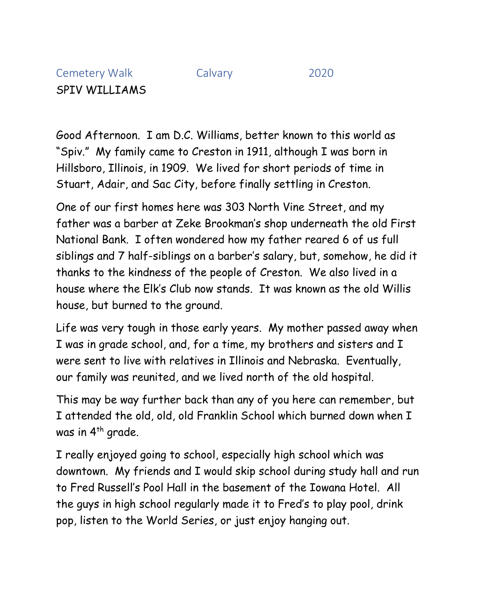## Cemetery Walk Calvary 2020 SPIV WILLIAMS

Good Afternoon. I am D.C. Williams, better known to this world as "Spiv." My family came to Creston in 1911, although I was born in Hillsboro, Illinois, in 1909. We lived for short periods of time in Stuart, Adair, and Sac City, before finally settling in Creston.

One of our first homes here was 303 North Vine Street, and my father was a barber at Zeke Brookman's shop underneath the old First National Bank. I often wondered how my father reared 6 of us full siblings and 7 half-siblings on a barber's salary, but, somehow, he did it thanks to the kindness of the people of Creston. We also lived in a house where the Elk's Club now stands. It was known as the old Willis house, but burned to the ground.

Life was very tough in those early years. My mother passed away when I was in grade school, and, for a time, my brothers and sisters and I were sent to live with relatives in Illinois and Nebraska. Eventually, our family was reunited, and we lived north of the old hospital.

This may be way further back than any of you here can remember, but I attended the old, old, old Franklin School which burned down when I was in 4<sup>th</sup> grade.

I really enjoyed going to school, especially high school which was downtown. My friends and I would skip school during study hall and run to Fred Russell's Pool Hall in the basement of the Iowana Hotel. All the guys in high school regularly made it to Fred's to play pool, drink pop, listen to the World Series, or just enjoy hanging out.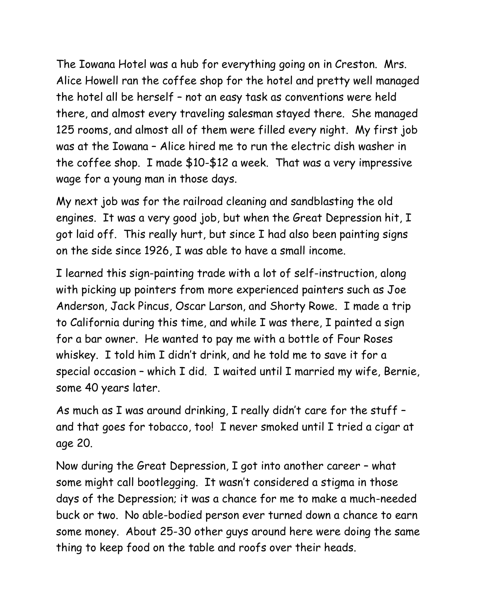The Iowana Hotel was a hub for everything going on in Creston. Mrs. Alice Howell ran the coffee shop for the hotel and pretty well managed the hotel all be herself – not an easy task as conventions were held there, and almost every traveling salesman stayed there. She managed 125 rooms, and almost all of them were filled every night. My first job was at the Iowana – Alice hired me to run the electric dish washer in the coffee shop. I made \$10-\$12 a week. That was a very impressive wage for a young man in those days.

My next job was for the railroad cleaning and sandblasting the old engines. It was a very good job, but when the Great Depression hit, I got laid off. This really hurt, but since I had also been painting signs on the side since 1926, I was able to have a small income.

I learned this sign-painting trade with a lot of self-instruction, along with picking up pointers from more experienced painters such as Joe Anderson, Jack Pincus, Oscar Larson, and Shorty Rowe. I made a trip to California during this time, and while I was there, I painted a sign for a bar owner. He wanted to pay me with a bottle of Four Roses whiskey. I told him I didn't drink, and he told me to save it for a special occasion – which I did. I waited until I married my wife, Bernie, some 40 years later.

As much as I was around drinking, I really didn't care for the stuff – and that goes for tobacco, too! I never smoked until I tried a cigar at age 20.

Now during the Great Depression, I got into another career – what some might call bootlegging. It wasn't considered a stigma in those days of the Depression; it was a chance for me to make a much-needed buck or two. No able-bodied person ever turned down a chance to earn some money. About 25-30 other guys around here were doing the same thing to keep food on the table and roofs over their heads.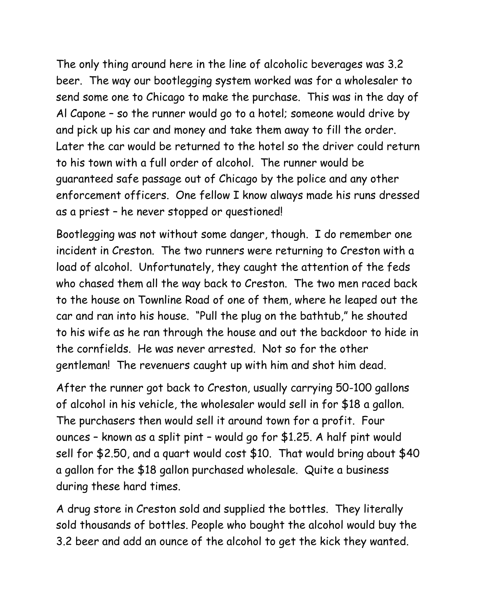The only thing around here in the line of alcoholic beverages was 3.2 beer. The way our bootlegging system worked was for a wholesaler to send some one to Chicago to make the purchase. This was in the day of Al Capone – so the runner would go to a hotel; someone would drive by and pick up his car and money and take them away to fill the order. Later the car would be returned to the hotel so the driver could return to his town with a full order of alcohol. The runner would be guaranteed safe passage out of Chicago by the police and any other enforcement officers. One fellow I know always made his runs dressed as a priest – he never stopped or questioned!

Bootlegging was not without some danger, though. I do remember one incident in Creston. The two runners were returning to Creston with a load of alcohol. Unfortunately, they caught the attention of the feds who chased them all the way back to Creston. The two men raced back to the house on Townline Road of one of them, where he leaped out the car and ran into his house. "Pull the plug on the bathtub," he shouted to his wife as he ran through the house and out the backdoor to hide in the cornfields. He was never arrested. Not so for the other gentleman! The revenuers caught up with him and shot him dead.

After the runner got back to Creston, usually carrying 50-100 gallons of alcohol in his vehicle, the wholesaler would sell in for \$18 a gallon. The purchasers then would sell it around town for a profit. Four ounces – known as a split pint – would go for \$1.25. A half pint would sell for \$2.50, and a quart would cost \$10. That would bring about \$40 a gallon for the \$18 gallon purchased wholesale. Quite a business during these hard times.

A drug store in Creston sold and supplied the bottles. They literally sold thousands of bottles. People who bought the alcohol would buy the 3.2 beer and add an ounce of the alcohol to get the kick they wanted.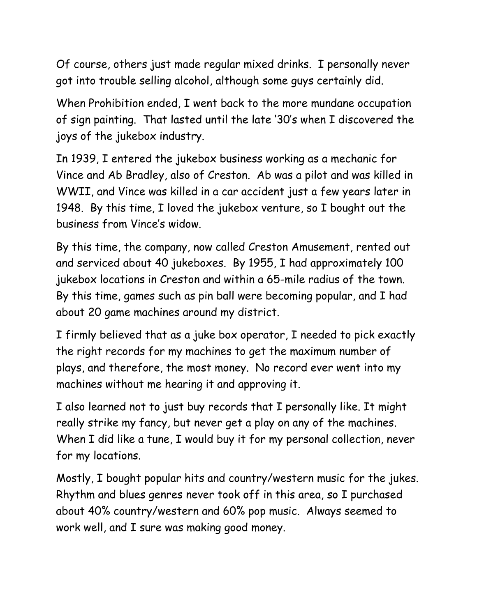Of course, others just made regular mixed drinks. I personally never got into trouble selling alcohol, although some guys certainly did.

When Prohibition ended, I went back to the more mundane occupation of sign painting. That lasted until the late '30's when I discovered the joys of the jukebox industry.

In 1939, I entered the jukebox business working as a mechanic for Vince and Ab Bradley, also of Creston. Ab was a pilot and was killed in WWII, and Vince was killed in a car accident just a few years later in 1948. By this time, I loved the jukebox venture, so I bought out the business from Vince's widow.

By this time, the company, now called Creston Amusement, rented out and serviced about 40 jukeboxes. By 1955, I had approximately 100 jukebox locations in Creston and within a 65-mile radius of the town. By this time, games such as pin ball were becoming popular, and I had about 20 game machines around my district.

I firmly believed that as a juke box operator, I needed to pick exactly the right records for my machines to get the maximum number of plays, and therefore, the most money. No record ever went into my machines without me hearing it and approving it.

I also learned not to just buy records that I personally like. It might really strike my fancy, but never get a play on any of the machines. When I did like a tune, I would buy it for my personal collection, never for my locations.

Mostly, I bought popular hits and country/western music for the jukes. Rhythm and blues genres never took off in this area, so I purchased about 40% country/western and 60% pop music. Always seemed to work well, and I sure was making good money.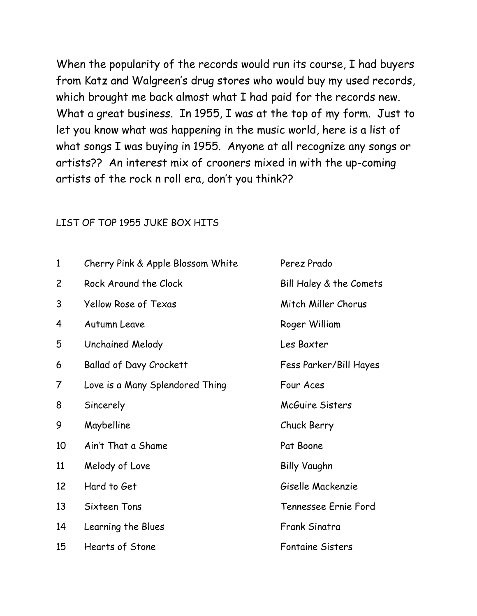When the popularity of the records would run its course, I had buyers from Katz and Walgreen's drug stores who would buy my used records, which brought me back almost what I had paid for the records new. What a great business. In 1955, I was at the top of my form. Just to let you know what was happening in the music world, here is a list of what songs I was buying in 1955. Anyone at all recognize any songs or artists?? An interest mix of crooners mixed in with the up-coming artists of the rock n roll era, don't you think??

## LIST OF TOP 1955 JUKE BOX HITS

| $\mathbf{1}$   | Cherry Pink & Apple Blossom White | Perez Prado             |
|----------------|-----------------------------------|-------------------------|
| $\overline{c}$ | Rock Around the Clock             | Bill Haley & the Comets |
| 3              | Yellow Rose of Texas              | Mitch Miller Chorus     |
| 4              | <b>Autumn Leave</b>               | Roger William           |
| 5              | Unchained Melody                  | Les Baxter              |
| 6              | <b>Ballad of Davy Crockett</b>    | Fess Parker/Bill Hayes  |
| 7              | Love is a Many Splendored Thing   | Four Aces               |
| 8              | Sincerely                         | McGuire Sisters         |
| 9              | Maybelline                        | Chuck Berry             |
| 10             | Ain't That a Shame                | Pat Boone               |
| 11             | Melody of Love                    | <b>Billy Vaughn</b>     |
| 12             | Hard to Get                       | Giselle Mackenzie       |
| 13             | Sixteen Tons                      | Tennessee Ernie Ford    |
| 14             | Learning the Blues                | <b>Frank Sinatra</b>    |
| 15             | <b>Hearts of Stone</b>            | <b>Fontaine Sisters</b> |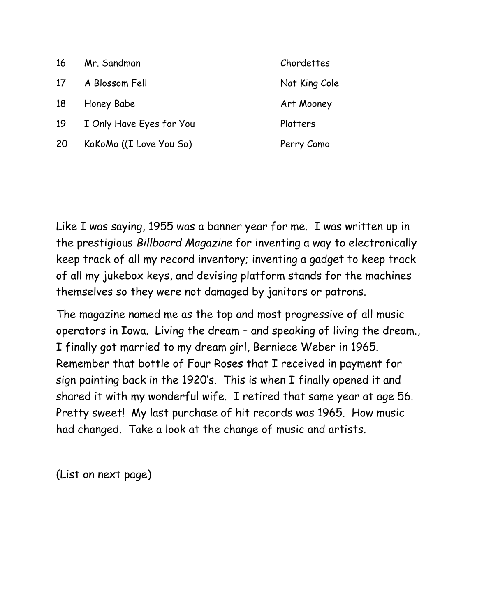| 16 | Mr. Sandman              | Chordettes    |
|----|--------------------------|---------------|
| 17 | A Blossom Fell           | Nat King Cole |
| 18 | Honey Babe               | Art Mooney    |
| 19 | I Only Have Eyes for You | Platters      |
| 20 | KoKoMo ((I Love You So)  | Perry Como    |
|    |                          |               |

Like I was saying, 1955 was a banner year for me. I was written up in the prestigious *Billboard Magazine* for inventing a way to electronically keep track of all my record inventory; inventing a gadget to keep track of all my jukebox keys, and devising platform stands for the machines themselves so they were not damaged by janitors or patrons.

The magazine named me as the top and most progressive of all music operators in Iowa. Living the dream – and speaking of living the dream., I finally got married to my dream girl, Berniece Weber in 1965. Remember that bottle of Four Roses that I received in payment for sign painting back in the 1920's. This is when I finally opened it and shared it with my wonderful wife. I retired that same year at age 56. Pretty sweet! My last purchase of hit records was 1965. How music had changed. Take a look at the change of music and artists.

(List on next page)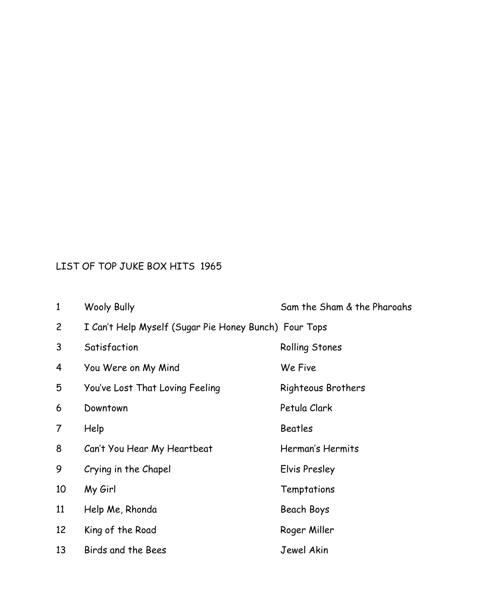## LIST OF TOP JUKE BOX HITS 1965

| $\mathbf{1}$   | <b>Wooly Bully</b>                                    | Sam the Sham & the Pharoahs |
|----------------|-------------------------------------------------------|-----------------------------|
| $\overline{c}$ | I Can't Help Myself (Sugar Pie Honey Bunch) Four Tops |                             |
| 3              | Satisfaction                                          | Rolling Stones              |
| 4              | You Were on My Mind                                   | We Five                     |
| 5              | You've Lost That Loving Feeling                       | Righteous Brothers          |
| 6              | Downtown                                              | Petula Clark                |
| 7              | Help                                                  | <b>Beatles</b>              |
| 8              | Can't You Hear My Heartbeat                           | Herman's Hermits            |
| 9              | Crying in the Chapel                                  | Elvis Presley               |
| 10             | My Girl                                               | Temptations                 |
| 11             | Help Me, Rhonda                                       | Beach Boys                  |
| 12             | King of the Road                                      | Roger Miller                |
| 13             | Birds and the Bees                                    | Jewel Akin                  |